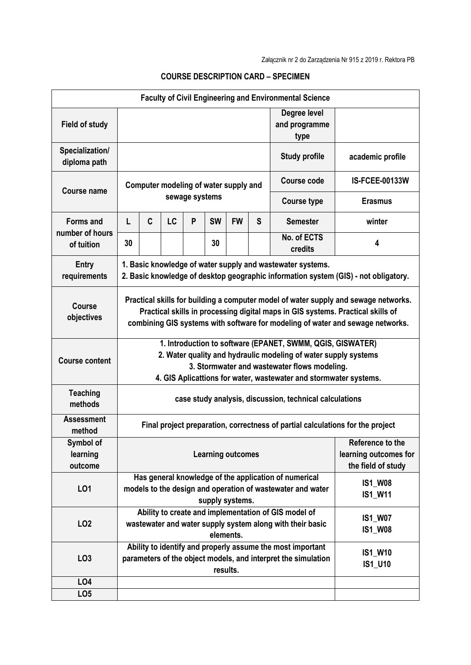| <b>Faculty of Civil Engineering and Environmental Science</b> |                                                                                                                                                                                                                                                          |              |           |                |           |           |                                  |                               |                           |
|---------------------------------------------------------------|----------------------------------------------------------------------------------------------------------------------------------------------------------------------------------------------------------------------------------------------------------|--------------|-----------|----------------|-----------|-----------|----------------------------------|-------------------------------|---------------------------|
| <b>Field of study</b>                                         | type                                                                                                                                                                                                                                                     |              |           |                |           |           |                                  | Degree level<br>and programme |                           |
| Specialization/<br>diploma path                               |                                                                                                                                                                                                                                                          |              |           |                |           |           |                                  | <b>Study profile</b>          | academic profile          |
| <b>Course name</b>                                            | Computer modeling of water supply and                                                                                                                                                                                                                    |              |           |                |           |           |                                  | Course code                   | <b>IS-FCEE-00133W</b>     |
|                                                               |                                                                                                                                                                                                                                                          |              |           | sewage systems |           |           |                                  | <b>Course type</b>            | <b>Erasmus</b>            |
| Forms and<br>number of hours                                  | L                                                                                                                                                                                                                                                        | $\mathbf{C}$ | <b>LC</b> | P              | <b>SW</b> | <b>FW</b> | S                                | <b>Semester</b>               | winter                    |
| of tuition                                                    | 30                                                                                                                                                                                                                                                       |              |           |                | 30        |           |                                  | No. of ECTS<br>credits        | 4                         |
| Entry<br>requirements                                         | 1. Basic knowledge of water supply and wastewater systems.<br>2. Basic knowledge of desktop geographic information system (GIS) - not obligatory.                                                                                                        |              |           |                |           |           |                                  |                               |                           |
| <b>Course</b><br>objectives                                   | Practical skills for building a computer model of water supply and sewage networks.<br>Practical skills in processing digital maps in GIS systems. Practical skills of<br>combining GIS systems with software for modeling of water and sewage networks. |              |           |                |           |           |                                  |                               |                           |
| <b>Course content</b>                                         | 1. Introduction to software (EPANET, SWMM, QGIS, GISWATER)<br>2. Water quality and hydraulic modeling of water supply systems<br>3. Stormwater and wastewater flows modeling.<br>4. GIS Aplicattions for water, wastewater and stormwater systems.       |              |           |                |           |           |                                  |                               |                           |
| <b>Teaching</b><br>methods                                    | case study analysis, discussion, technical calculations                                                                                                                                                                                                  |              |           |                |           |           |                                  |                               |                           |
| <b>Assessment</b><br>method                                   | Final project preparation, correctness of partial calculations for the project                                                                                                                                                                           |              |           |                |           |           |                                  |                               |                           |
| Symbol of<br>learning<br>outcome                              | Reference to the<br><b>Learning outcomes</b><br>the field of study                                                                                                                                                                                       |              |           |                |           |           |                                  | learning outcomes for         |                           |
| LO1                                                           | Has general knowledge of the application of numerical<br><b>IS1_W08</b><br>models to the design and operation of wastewater and water<br><b>IS1_W11</b><br>supply systems.                                                                               |              |           |                |           |           |                                  |                               |                           |
| LO <sub>2</sub>                                               | Ability to create and implementation of GIS model of<br>wastewater and water supply system along with their basic<br>elements.                                                                                                                           |              |           |                |           |           | <b>IS1_W07</b><br><b>IS1 W08</b> |                               |                           |
| LO <sub>3</sub>                                               | Ability to identify and properly assume the most important<br>parameters of the object models, and interpret the simulation<br>results.                                                                                                                  |              |           |                |           |           |                                  |                               | <b>IS1_W10</b><br>IS1_U10 |
| LO4                                                           |                                                                                                                                                                                                                                                          |              |           |                |           |           |                                  |                               |                           |
| LO <sub>5</sub>                                               |                                                                                                                                                                                                                                                          |              |           |                |           |           |                                  |                               |                           |

## COURSE DESCRIPTION CARD – SPECIMEN